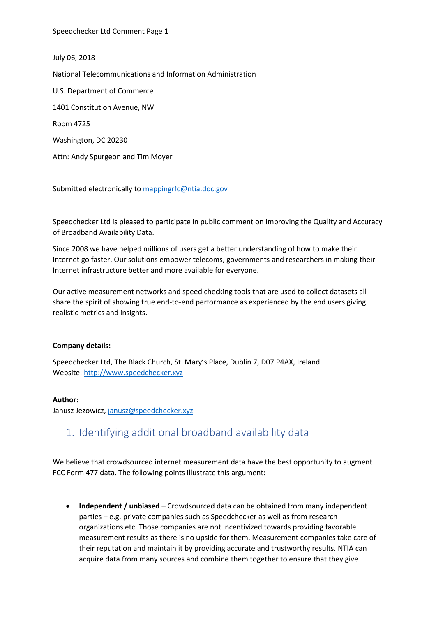July 06, 2018 National Telecommunications and Information Administration U.S. Department of Commerce 1401 Constitution Avenue, NW Room 4725 Washington, DC 20230 Attn: Andy Spurgeon and Tim Moyer

Submitted electronically to [mappingrfc@ntia.doc.gov](mailto:mappingrfc@ntia.doc.gov)

Speedchecker Ltd is pleased to participate in public comment on Improving the Quality and Accuracy of Broadband Availability Data.

Since 2008 we have helped millions of users get a better understanding of how to make their Internet go faster. Our solutions empower telecoms, governments and researchers in making their Internet infrastructure better and more available for everyone.

Our active measurement networks and speed checking tools that are used to collect datasets all share the spirit of showing true end-to-end performance as experienced by the end users giving realistic metrics and insights.

#### **Company details:**

Speedchecker Ltd, The Black Church, St. Mary's Place, Dublin 7, D07 P4AX, Ireland Website[: http://www.speedchecker.xyz](http://www.speedchecker.xyz/)

#### **Author:**

Janusz Jezowicz, [janusz@speedchecker.xyz](mailto:janusz@speedchecker.xyz)

## 1. Identifying additional broadband availability data

We believe that crowdsourced internet measurement data have the best opportunity to augment FCC Form 477 data. The following points illustrate this argument:

• **Independent / unbiased** – Crowdsourced data can be obtained from many independent parties – e.g. private companies such as Speedchecker as well as from research organizations etc. Those companies are not incentivized towards providing favorable measurement results as there is no upside for them. Measurement companies take care of their reputation and maintain it by providing accurate and trustworthy results. NTIA can acquire data from many sources and combine them together to ensure that they give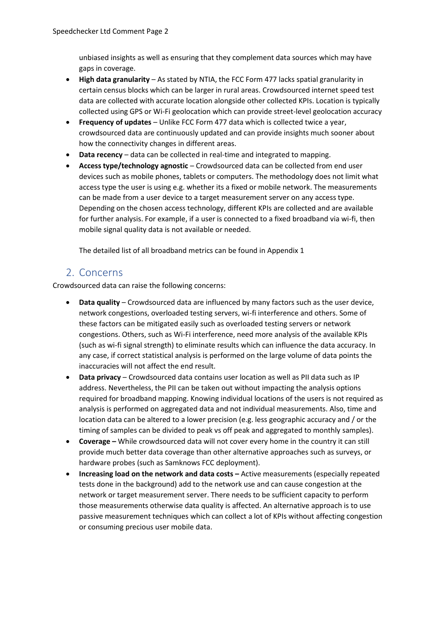unbiased insights as well as ensuring that they complement data sources which may have gaps in coverage.

- **High data granularity** As stated by NTIA, the FCC Form 477 lacks spatial granularity in certain census blocks which can be larger in rural areas. Crowdsourced internet speed test data are collected with accurate location alongside other collected KPIs. Location is typically collected using GPS or Wi-Fi geolocation which can provide street-level geolocation accuracy
- **Frequency of updates**  Unlike FCC Form 477 data which is collected twice a year, crowdsourced data are continuously updated and can provide insights much sooner about how the connectivity changes in different areas.
- **Data recency** data can be collected in real-time and integrated to mapping.
- **Access type/technology agnostic**  Crowdsourced data can be collected from end user devices such as mobile phones, tablets or computers. The methodology does not limit what access type the user is using e.g. whether its a fixed or mobile network. The measurements can be made from a user device to a target measurement server on any access type. Depending on the chosen access technology, different KPIs are collected and are available for further analysis. For example, if a user is connected to a fixed broadband via wi-fi, then mobile signal quality data is not available or needed.

The detailed list of all broadband metrics can be found in Appendix 1

## 2. Concerns

Crowdsourced data can raise the following concerns:

- **Data quality** Crowdsourced data are influenced by many factors such as the user device, network congestions, overloaded testing servers, wi-fi interference and others. Some of these factors can be mitigated easily such as overloaded testing servers or network congestions. Others, such as Wi-Fi interference, need more analysis of the available KPIs (such as wi-fi signal strength) to eliminate results which can influence the data accuracy. In any case, if correct statistical analysis is performed on the large volume of data points the inaccuracies will not affect the end result.
- **Data privacy** Crowdsourced data contains user location as well as PII data such as IP address. Nevertheless, the PII can be taken out without impacting the analysis options required for broadband mapping. Knowing individual locations of the users is not required as analysis is performed on aggregated data and not individual measurements. Also, time and location data can be altered to a lower precision (e.g. less geographic accuracy and / or the timing of samples can be divided to peak vs off peak and aggregated to monthly samples).
- **Coverage –** While crowdsourced data will not cover every home in the country it can still provide much better data coverage than other alternative approaches such as surveys, or hardware probes (such as Samknows FCC deployment).
- **Increasing load on the network and data costs –** Active measurements (especially repeated tests done in the background) add to the network use and can cause congestion at the network or target measurement server. There needs to be sufficient capacity to perform those measurements otherwise data quality is affected. An alternative approach is to use passive measurement techniques which can collect a lot of KPIs without affecting congestion or consuming precious user mobile data.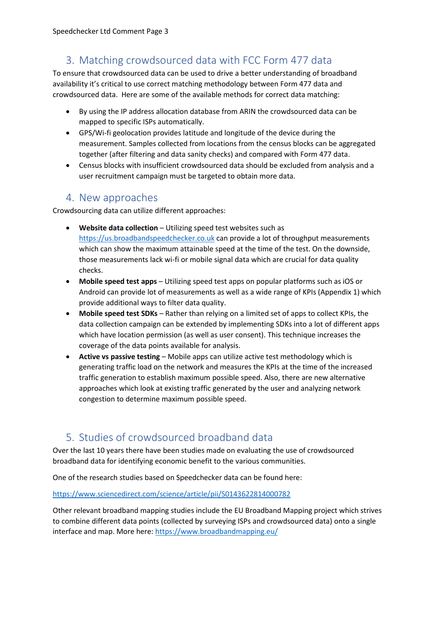# 3. Matching crowdsourced data with FCC Form 477 data

To ensure that crowdsourced data can be used to drive a better understanding of broadband availability it's critical to use correct matching methodology between Form 477 data and crowdsourced data. Here are some of the available methods for correct data matching:

- By using the IP address allocation database from ARIN the crowdsourced data can be mapped to specific ISPs automatically.
- GPS/Wi-fi geolocation provides latitude and longitude of the device during the measurement. Samples collected from locations from the census blocks can be aggregated together (after filtering and data sanity checks) and compared with Form 477 data.
- Census blocks with insufficient crowdsourced data should be excluded from analysis and a user recruitment campaign must be targeted to obtain more data.

## 4. New approaches

Crowdsourcing data can utilize different approaches:

- **Website data collection** Utilizing speed test websites such as [https://us.broadbandspeedchecker.co.uk](https://us.broadbandspeedchecker.co.uk/) can provide a lot of throughput measurements which can show the maximum attainable speed at the time of the test. On the downside, those measurements lack wi-fi or mobile signal data which are crucial for data quality checks.
- **Mobile speed test apps**  Utilizing speed test apps on popular platforms such as iOS or Android can provide lot of measurements as well as a wide range of KPIs (Appendix 1) which provide additional ways to filter data quality.
- **Mobile speed test SDKs**  Rather than relying on a limited set of apps to collect KPIs, the data collection campaign can be extended by implementing SDKs into a lot of different apps which have location permission (as well as user consent). This technique increases the coverage of the data points available for analysis.
- Active vs passive testing Mobile apps can utilize active test methodology which is generating traffic load on the network and measures the KPIs at the time of the increased traffic generation to establish maximum possible speed. Also, there are new alternative approaches which look at existing traffic generated by the user and analyzing network congestion to determine maximum possible speed.

# 5. Studies of crowdsourced broadband data

Over the last 10 years there have been studies made on evaluating the use of crowdsourced broadband data for identifying economic benefit to the various communities.

One of the research studies based on Speedchecker data can be found here:

<https://www.sciencedirect.com/science/article/pii/S0143622814000782>

Other relevant broadband mapping studies include the EU Broadband Mapping project which strives to combine different data points (collected by surveying ISPs and crowdsourced data) onto a single interface and map. More here:<https://www.broadbandmapping.eu/>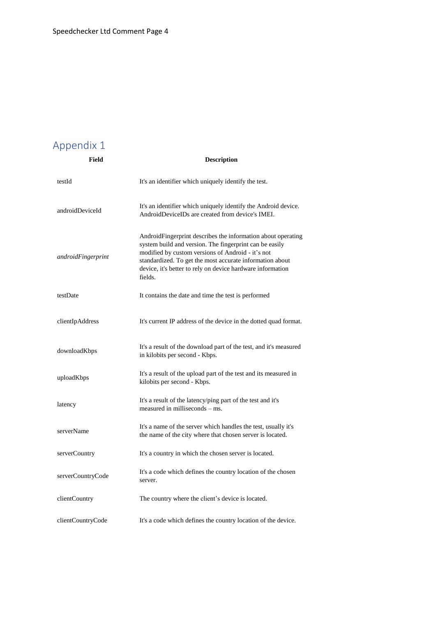# Appendix 1 **Field Description**

| testId             | It's an identifier which uniquely identify the test.                                                                                                                                                                                                                                                              |
|--------------------|-------------------------------------------------------------------------------------------------------------------------------------------------------------------------------------------------------------------------------------------------------------------------------------------------------------------|
| androidDeviceId    | It's an identifier which uniquely identify the Android device.<br>AndroidDeviceIDs are created from device's IMEI.                                                                                                                                                                                                |
| androidFingerprint | AndroidFingerprint describes the information about operating<br>system build and version. The fingerprint can be easily<br>modified by custom versions of Android - it's not<br>standardized. To get the most accurate information about<br>device, it's better to rely on device hardware information<br>fields. |
| testDate           | It contains the date and time the test is performed                                                                                                                                                                                                                                                               |
| clientIpAddress    | It's current IP address of the device in the dotted quad format.                                                                                                                                                                                                                                                  |
| downloadKbps       | It's a result of the download part of the test, and it's measured<br>in kilobits per second - Kbps.                                                                                                                                                                                                               |
| uploadKbps         | It's a result of the upload part of the test and its measured in<br>kilobits per second - Kbps.                                                                                                                                                                                                                   |
| latency            | It's a result of the latency/ping part of the test and it's<br>measured in milliseconds – ms.                                                                                                                                                                                                                     |
| serverName         | It's a name of the server which handles the test, usually it's<br>the name of the city where that chosen server is located.                                                                                                                                                                                       |
| serverCountry      | It's a country in which the chosen server is located.                                                                                                                                                                                                                                                             |
| serverCountryCode  | It's a code which defines the country location of the chosen<br>server.                                                                                                                                                                                                                                           |
| clientCountry      | The country where the client's device is located.                                                                                                                                                                                                                                                                 |
| clientCountryCode  | It's a code which defines the country location of the device.                                                                                                                                                                                                                                                     |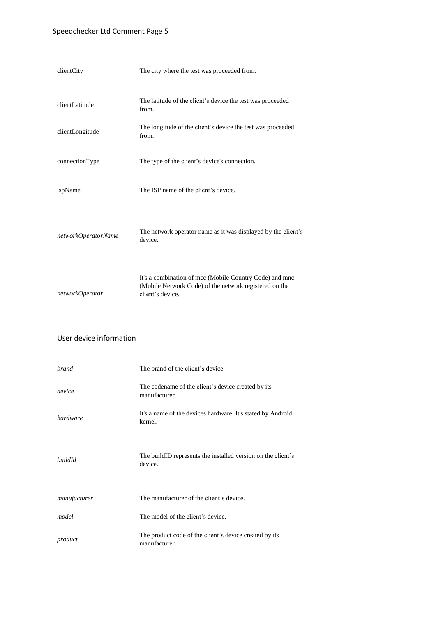### Speedchecker Ltd Comment Page 5

| clientCity          | The city where the test was proceeded from.                                                                                           |
|---------------------|---------------------------------------------------------------------------------------------------------------------------------------|
| clientLatitude      | The latitude of the client's device the test was proceeded<br>from.                                                                   |
| clientLongitude     | The longitude of the client's device the test was proceeded<br>from.                                                                  |
| connectionType      | The type of the client's device's connection.                                                                                         |
| ispName             | The ISP name of the client's device.                                                                                                  |
| networkOperatorName | The network operator name as it was displayed by the client's<br>device.                                                              |
| networkOperator     | It's a combination of mcc (Mobile Country Code) and mnc<br>(Mobile Network Code) of the network registered on the<br>client's device. |

### User device information

| <b>brand</b> | The brand of the client's device.                                       |
|--------------|-------------------------------------------------------------------------|
| device       | The codename of the client's device created by its<br>manufacturer.     |
| hardware     | It's a name of the devices hardware. It's stated by Android<br>kernel.  |
| buildId      | The buildID represents the installed version on the client's<br>device. |
| manufacturer | The manufacturer of the client's device.                                |
| model        | The model of the client's device.                                       |
| product      | The product code of the client's device created by its<br>manufacturer. |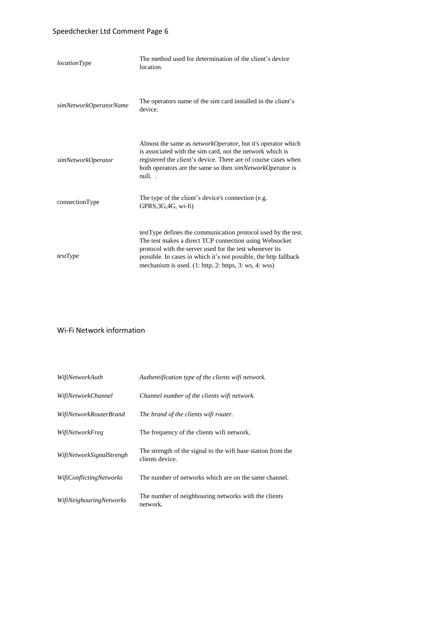### Speedchecker Ltd Comment Page 6

| <i>locationType</i>    | The method used for determination of the client's device<br>location.                                                                                                                                                                                                                                                   |
|------------------------|-------------------------------------------------------------------------------------------------------------------------------------------------------------------------------------------------------------------------------------------------------------------------------------------------------------------------|
| simNetworkOperatorName | The operators name of the sim card installed in the client's<br>device.                                                                                                                                                                                                                                                 |
| simNetworkOperator     | Almost the same as <i>networkOperator</i> , but it's operator which<br>is associated with the sim card, not the network which is<br>registered the client's device. There are of course cases when<br>both operators are the same so then <i>simNetworkOperator</i> is<br>null                                          |
| connectionType         | The type of the client's device's connection (e.g.<br>$GPRS, 3G, 4G, wi-fi$ )                                                                                                                                                                                                                                           |
| testType               | testType defines the communication protocol used by the test.<br>The test makes a direct TCP connection using Websocket<br>protocol with the server used for the test whenever its<br>possible. In cases in which it's not possible, the http fallback<br>mechanism is used. $(1: \text{http, 2: https, 3: ws, 4: wss)$ |

#### Wi-Fi Network information

| WifiNetworkAuth                | Authentification type of the clients wifi network.                              |
|--------------------------------|---------------------------------------------------------------------------------|
| WifiNetworkChannel             | Channel number of the clients wifi network.                                     |
| WifiNetworkRouterBrand         | The brand of the clients wifi router.                                           |
| <i>WifiNetworkFreq</i>         | The frequency of the clients wifi network.                                      |
| WifiNetworkSignalStrengh       | The strength of the signal to the wifi base station from the<br>clients device. |
| <i>WifiConflictingNetworks</i> | The number of networks which are on the same channel.                           |
| <i>WifiNeighouringNetworks</i> | The number of neighbouring networks with the clients<br>network.                |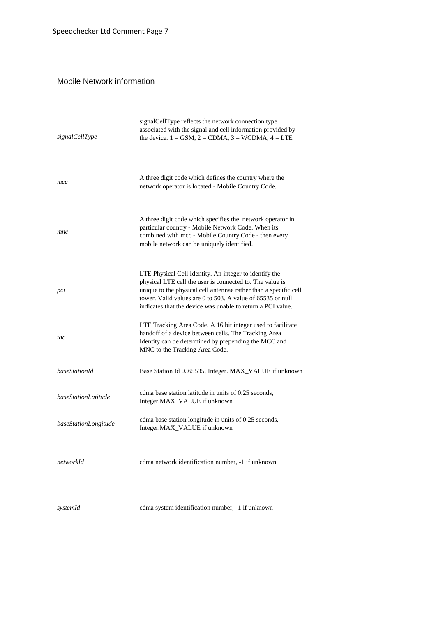### Mobile Network information

| signalCellType       | signalCellType reflects the network connection type<br>associated with the signal and cell information provided by<br>the device. $1 =$ GSM, $2 =$ CDMA, $3 =$ WCDMA, $4 =$ LTE                                                                                                                                     |
|----------------------|---------------------------------------------------------------------------------------------------------------------------------------------------------------------------------------------------------------------------------------------------------------------------------------------------------------------|
| mcc                  | A three digit code which defines the country where the<br>network operator is located - Mobile Country Code.                                                                                                                                                                                                        |
| mnc                  | A three digit code which specifies the network operator in<br>particular country - Mobile Network Code. When its<br>combined with mcc - Mobile Country Code - then every<br>mobile network can be uniquely identified.                                                                                              |
| pci                  | LTE Physical Cell Identity. An integer to identify the<br>physical LTE cell the user is connected to. The value is<br>unique to the physical cell antennae rather than a specific cell<br>tower. Valid values are 0 to 503. A value of 65535 or null<br>indicates that the device was unable to return a PCI value. |
| tac                  | LTE Tracking Area Code. A 16 bit integer used to facilitate<br>handoff of a device between cells. The Tracking Area<br>Identity can be determined by prepending the MCC and<br>MNC to the Tracking Area Code.                                                                                                       |
| baseStationId        | Base Station Id 065535, Integer. MAX_VALUE if unknown                                                                                                                                                                                                                                                               |
| baseStationLatitude  | cdma base station latitude in units of 0.25 seconds,<br>Integer.MAX_VALUE if unknown                                                                                                                                                                                                                                |
| baseStationLongitude | cdma base station longitude in units of 0.25 seconds,<br>Integer.MAX_VALUE if unknown                                                                                                                                                                                                                               |
| networkId            | cdma network identification number, -1 if unknown                                                                                                                                                                                                                                                                   |
| systemId             | cdma system identification number, -1 if unknown                                                                                                                                                                                                                                                                    |